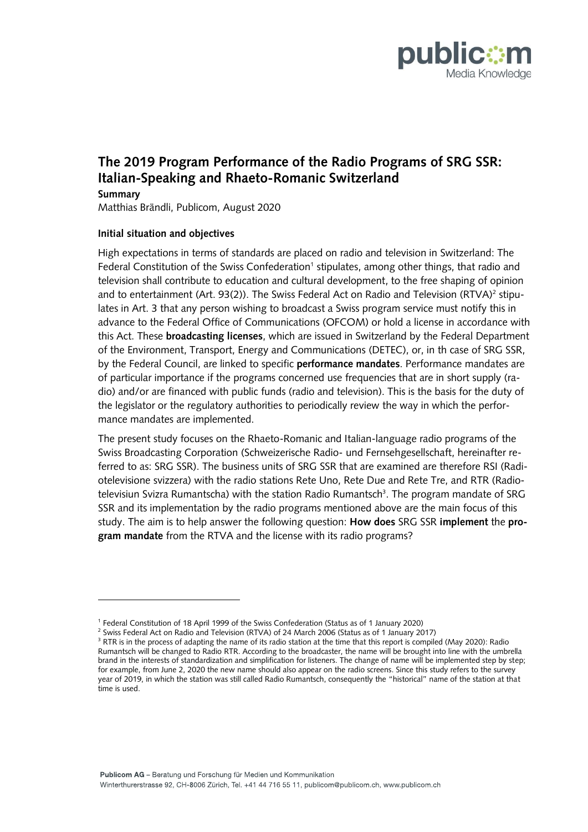

# **The 2019 Program Performance of the Radio Programs of SRG SSR: Italian-Speaking and Rhaeto-Romanic Switzerland**

**Summary** 

Matthias Brändli, Publicom, August 2020

### **Initial situation and objectives**

High expectations in terms of standards are placed on radio and television in Switzerland: The Federal Constitution of the Swiss Confederation<sup>1</sup> stipulates, among other things, that radio and television shall contribute to education and cultural development, to the free shaping of opinion and to entertainment (Art. 93(2)). The Swiss Federal Act on Radio and Television (RTVA)<sup>2</sup> stipulates in Art. 3 that any person wishing to broadcast a Swiss program service must notify this in advance to the Federal Office of Communications (OFCOM) or hold a license in accordance with this Act. These **broadcasting licenses**, which are issued in Switzerland by the Federal Department of the Environment, Transport, Energy and Communications (DETEC), or, in th case of SRG SSR, by the Federal Council, are linked to specific **performance mandates**. Performance mandates are of particular importance if the programs concerned use frequencies that are in short supply (radio) and/or are financed with public funds (radio and television). This is the basis for the duty of the legislator or the regulatory authorities to periodically review the way in which the performance mandates are implemented.

The present study focuses on the Rhaeto-Romanic and Italian-language radio programs of the Swiss Broadcasting Corporation (Schweizerische Radio- und Fernsehgesellschaft, hereinafter referred to as: SRG SSR). The business units of SRG SSR that are examined are therefore RSI (Radiotelevisione svizzera) with the radio stations Rete Uno, Rete Due and Rete Tre, and RTR (Radiotelevisiun Svizra Rumantscha) with the station Radio Rumantsch<sup>3</sup>. The program mandate of SRG SSR and its implementation by the radio programs mentioned above are the main focus of this study. The aim is to help answer the following question: **How does** SRG SSR **implement** the **program mandate** from the RTVA and the license with its radio programs?

<sup>1</sup> Federal Constitution of 18 April 1999 of the Swiss Confederation (Status as of 1 January 2020)

<sup>2</sup> Swiss Federal Act on Radio and Television (RTVA) of 24 March 2006 (Status as of 1 January 2017)

<sup>&</sup>lt;sup>3</sup> RTR is in the process of adapting the name of its radio station at the time that this report is compiled (May 2020): Radio Rumantsch will be changed to Radio RTR. According to the broadcaster, the name will be brought into line with the umbrella brand in the interests of standardization and simplification for listeners. The change of name will be implemented step by step; for example, from June 2, 2020 the new name should also appear on the radio screens. Since this study refers to the survey year of 2019, in which the station was still called Radio Rumantsch, consequently the "historical" name of the station at that time is used.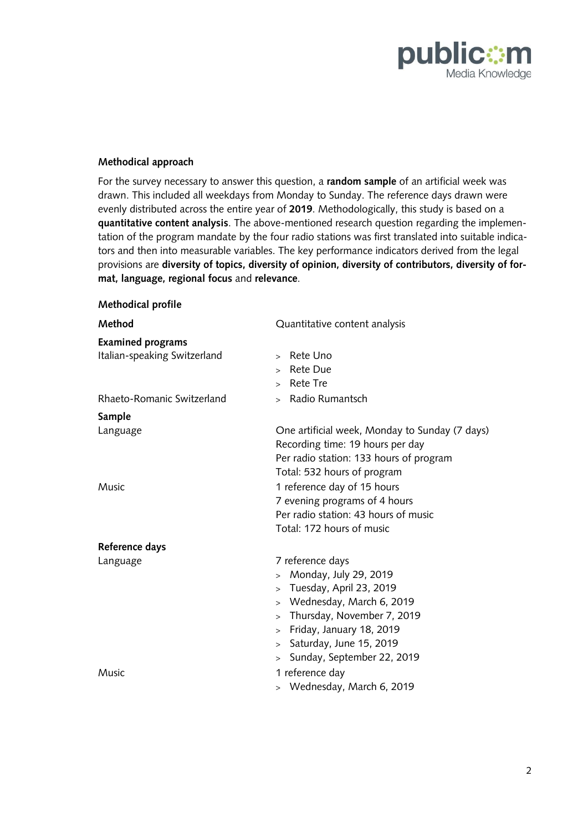

## **Methodical approach**

For the survey necessary to answer this question, a **random sample** of an artificial week was drawn. This included all weekdays from Monday to Sunday. The reference days drawn were evenly distributed across the entire year of **2019**. Methodologically, this study is based on a **quantitative content analysis**. The above-mentioned research question regarding the implementation of the program mandate by the four radio stations was first translated into suitable indicators and then into measurable variables. The key performance indicators derived from the legal provisions are **diversity of topics, diversity of opinion, diversity of contributors, diversity of format, language, regional focus** and **relevance**.

### **Methodical profile**

| Method                       | Quantitative content analysis                  |  |  |  |  |  |
|------------------------------|------------------------------------------------|--|--|--|--|--|
| <b>Examined programs</b>     |                                                |  |  |  |  |  |
| Italian-speaking Switzerland | Rete Uno<br>$\geq$                             |  |  |  |  |  |
|                              | Rete Due<br>$\geq$                             |  |  |  |  |  |
|                              | > Rete Tre                                     |  |  |  |  |  |
| Rhaeto-Romanic Switzerland   | > Radio Rumantsch                              |  |  |  |  |  |
| Sample                       |                                                |  |  |  |  |  |
| Language                     | One artificial week, Monday to Sunday (7 days) |  |  |  |  |  |
|                              | Recording time: 19 hours per day               |  |  |  |  |  |
|                              | Per radio station: 133 hours of program        |  |  |  |  |  |
|                              | Total: 532 hours of program                    |  |  |  |  |  |
| Music                        | 1 reference day of 15 hours                    |  |  |  |  |  |
|                              | 7 evening programs of 4 hours                  |  |  |  |  |  |
|                              | Per radio station: 43 hours of music           |  |  |  |  |  |
|                              | Total: 172 hours of music                      |  |  |  |  |  |
| Reference days               |                                                |  |  |  |  |  |
| Language                     | 7 reference days                               |  |  |  |  |  |
|                              | > Monday, July 29, 2019                        |  |  |  |  |  |
|                              | > Tuesday, April 23, 2019                      |  |  |  |  |  |
|                              | > Wednesday, March 6, 2019                     |  |  |  |  |  |
|                              | Thursday, November 7, 2019<br>$\geq$           |  |  |  |  |  |
|                              | > Friday, January 18, 2019                     |  |  |  |  |  |
|                              | > Saturday, June 15, 2019                      |  |  |  |  |  |
|                              | Sunday, September 22, 2019<br>$\geq$           |  |  |  |  |  |
| Music                        | 1 reference day                                |  |  |  |  |  |
|                              | > Wednesday, March 6, 2019                     |  |  |  |  |  |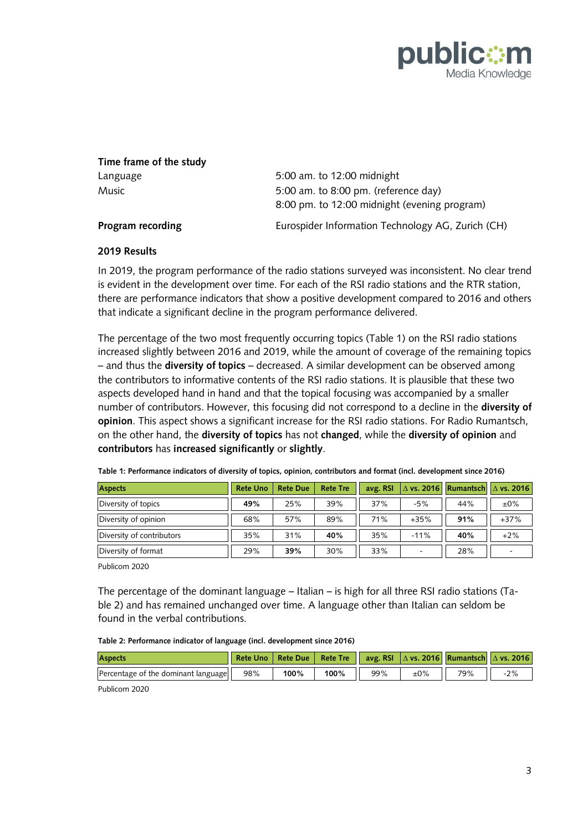

| Time frame of the study |                                                   |
|-------------------------|---------------------------------------------------|
| Language                | 5:00 am. to 12:00 midnight                        |
| Music                   | 5:00 am. to 8:00 pm. (reference day)              |
|                         | 8:00 pm. to 12:00 midnight (evening program)      |
| Program recording       | Eurospider Information Technology AG, Zurich (CH) |

## **2019 Results**

In 2019, the program performance of the radio stations surveyed was inconsistent. No clear trend is evident in the development over time. For each of the RSI radio stations and the RTR station, there are performance indicators that show a positive development compared to 2016 and others that indicate a significant decline in the program performance delivered.

The percentage of the two most frequently occurring topics (Table 1) on the RSI radio stations increased slightly between 2016 and 2019, while the amount of coverage of the remaining topics – and thus the **diversity of topics** – decreased. A similar development can be observed among the contributors to informative contents of the RSI radio stations. It is plausible that these two aspects developed hand in hand and that the topical focusing was accompanied by a smaller number of contributors. However, this focusing did not correspond to a decline in the **diversity of opinion**. This aspect shows a significant increase for the RSI radio stations. For Radio Rumantsch, on the other hand, the **diversity of topics** has not **changed**, while the **diversity of opinion** and **contributors** has **increased significantly** or **slightly**.

| <b>Aspects</b>            | <b>Rete Uno</b> | <b>Rete Due</b> | <b>Rete Tre</b> | avg. RSI |        | $\Delta$ vs. 2016 Rumantsch $\Delta$ vs. 2016 |        |
|---------------------------|-----------------|-----------------|-----------------|----------|--------|-----------------------------------------------|--------|
| Diversity of topics       | 49%             | 25%             | 39%             | 37%      | $-5%$  | 44%                                           | $±0\%$ |
| Diversity of opinion      | 68%             | 57%             | 89%             | 71%      | $+35%$ | 91%                                           | $+37%$ |
| Diversity of contributors | 35%             | 31%             | 40%             | 35%      | $-11%$ | 40%                                           | $+2\%$ |
| Diversity of format       | 29%             | 39%             | 30%             | 33%      |        | 28%                                           |        |

**Table 1: Performance indicators of diversity of topics, opinion, contributors and format (incl. development since 2016)**

Publicom 2020

The percentage of the dominant language – Italian – is high for all three RSI radio stations (Table 2) and has remained unchanged over time. A language other than Italian can seldom be found in the verbal contributions.

**Table 2: Performance indicator of language (incl. development since 2016)**

| <b>Aspects</b>                      | Rete Uno | Rete Due |      |     |           | Rete Tre   avg. RSI $\Delta$ vs. 2016   Rumantsch $\Delta$ vs. 2016 |       |
|-------------------------------------|----------|----------|------|-----|-----------|---------------------------------------------------------------------|-------|
| Percentage of the dominant language | 98%      | 100%     | 100% | 99% | $\pm 0\%$ | 79%                                                                 | $-2%$ |
| $   -$<br>- - - -                   |          |          |      |     |           |                                                                     |       |

Publicom 2020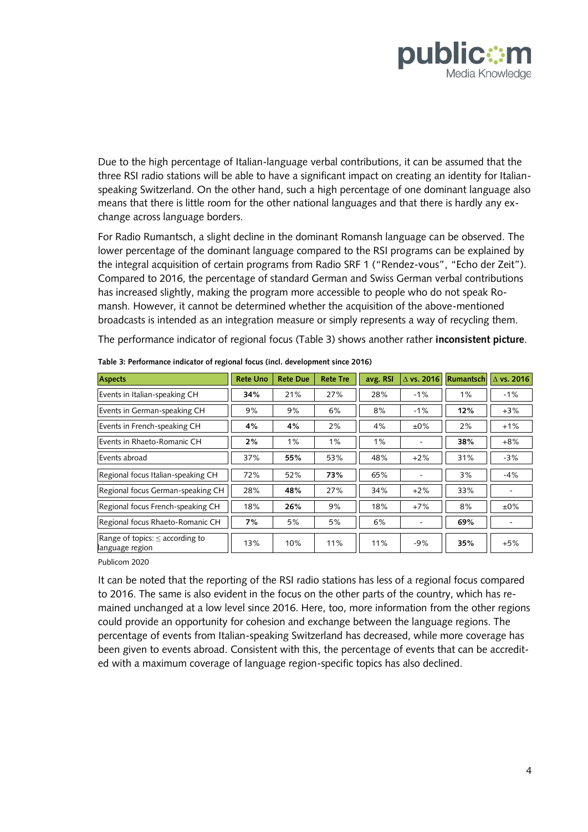

Due to the high percentage of Italian-language verbal contributions, it can be assumed that the three RSI radio stations will be able to have a significant impact on creating an identity for Italianspeaking Switzerland. On the other hand, such a high percentage of one dominant language also means that there is little room for the other national languages and that there is hardly any exchange across language borders.

For Radio Rumantsch, a slight decline in the dominant Romansh language can be observed. The lower percentage of the dominant language compared to the RSI programs can be explained by the integral acquisition of certain programs from Radio SRF 1 ("Rendez-vous", "Echo der Zeit"). Compared to 2016, the percentage of standard German and Swiss German verbal contributions has increased slightly, making the program more accessible to people who do not speak Romansh. However, it cannot be determined whether the acquisition of the above-mentioned broadcasts is intended as an integration measure or simply represents a way of recycling them.

The performance indicator of regional focus (Table 3) shows another rather **inconsistent picture**.

| <b>Aspects</b>                                          | <b>Rete Uno</b> | <b>Rete Due</b> | <b>Rete Tre</b> | avg. RSI | $\Delta$ vs. 2016        | Rumantsch $  \Delta$ vs. 2016 |        |
|---------------------------------------------------------|-----------------|-----------------|-----------------|----------|--------------------------|-------------------------------|--------|
| Events in Italian-speaking CH                           | 34%             | 21%             | 27%             | 28%      | $-1%$                    | 1%                            | $-1%$  |
| Events in German-speaking CH                            | 9%              | 9%              | 6%              | 8%       | $-1%$                    | 12%                           | $+3%$  |
| Events in French-speaking CH                            | 4%              | 4%              | 2%              | 4%       | $±0\%$                   | 2%                            | $+1%$  |
| Events in Rhaeto-Romanic CH                             | 2%              | 1%              | 1%              | 1%       | $\overline{\phantom{a}}$ | 38%                           | $+8%$  |
| Events abroad                                           | 37%             | 55%             | 53%             | 48%      | $+2\%$                   | 31%                           | $-3%$  |
| Regional focus Italian-speaking CH                      | 72%             | 52%             | 73%             | 65%      | $\overline{\phantom{a}}$ | 3%                            | $-4%$  |
| Regional focus German-speaking CH                       | 28%             | 48%             | 27%             | 34%      | $+2\%$                   | 33%                           |        |
| Regional focus French-speaking CH                       | 18%             | 26%             | 9%              | 18%      | $+7%$                    | 8%                            | $±0\%$ |
| Regional focus Rhaeto-Romanic CH                        | 7%              | 5%              | 5%              | 6%       |                          | 69%                           |        |
| Range of topics: $\leq$ according to<br>language region | 13%             | 10%             | 11%             | 11%      | $-9%$                    | 35%                           | $+5%$  |

**Table 3: Performance indicator of regional focus (incl. development since 2016)**

Publicom 2020

It can be noted that the reporting of the RSI radio stations has less of a regional focus compared to 2016. The same is also evident in the focus on the other parts of the country, which has remained unchanged at a low level since 2016. Here, too, more information from the other regions could provide an opportunity for cohesion and exchange between the language regions. The percentage of events from Italian-speaking Switzerland has decreased, while more coverage has been given to events abroad. Consistent with this, the percentage of events that can be accredited with a maximum coverage of language region-specific topics has also declined.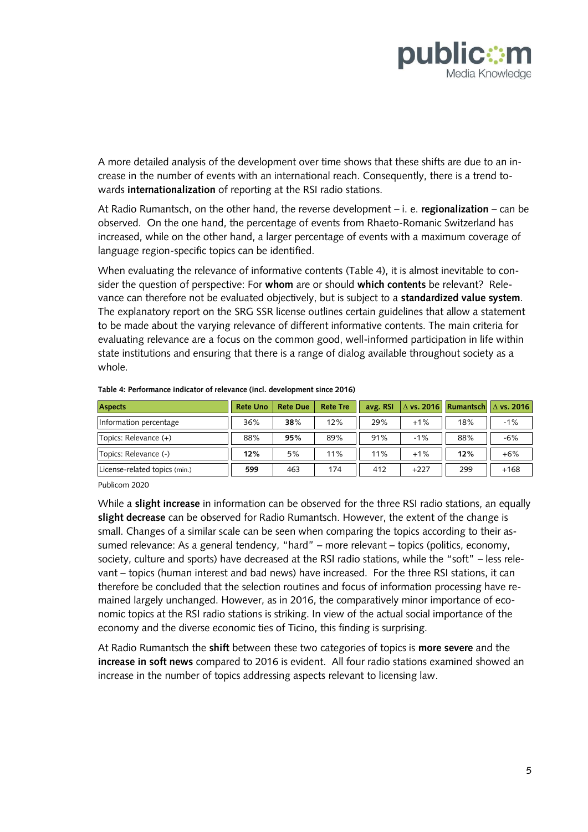

A more detailed analysis of the development over time shows that these shifts are due to an increase in the number of events with an international reach. Consequently, there is a trend towards **internationalization** of reporting at the RSI radio stations.

At Radio Rumantsch, on the other hand, the reverse development – i. e. **regionalization** – can be observed. On the one hand, the percentage of events from Rhaeto-Romanic Switzerland has increased, while on the other hand, a larger percentage of events with a maximum coverage of language region-specific topics can be identified.

When evaluating the relevance of informative contents (Table 4), it is almost inevitable to consider the question of perspective: For **whom** are or should **which contents** be relevant? Relevance can therefore not be evaluated objectively, but is subject to a **standardized value system**. The explanatory report on the SRG SSR license outlines certain guidelines that allow a statement to be made about the varying relevance of different informative contents. The main criteria for evaluating relevance are a focus on the common good, well-informed participation in life within state institutions and ensuring that there is a range of dialog available throughout society as a whole.

| <b>Aspects</b>                | <b>Rete Uno</b> | <b>Rete Due</b> | <b>Rete Tre</b> | avg. RSI |        | $\Delta$ vs. 2016 Rumantsch $\Delta$ vs. 2016 |        |
|-------------------------------|-----------------|-----------------|-----------------|----------|--------|-----------------------------------------------|--------|
| Information percentage        | 36%             | 38%             | 12%             | 29%      | $+1\%$ | 18%                                           | $-1%$  |
| Topics: Relevance (+)         | 88%             | 95%             | 89%             | 91%      | $-1\%$ | 88%                                           | -6%    |
| Topics: Relevance (-)         | 12%             | 5%              | 11%             | 11%      | $+1\%$ | 12%                                           | $+6%$  |
| License-related topics (min.) | 599             | 463             | 174             | 412      | $+227$ | 299                                           | $+168$ |

**Table 4: Performance indicator of relevance (incl. development since 2016)**

Publicom 2020

While a **slight increase** in information can be observed for the three RSI radio stations, an equally **slight decrease** can be observed for Radio Rumantsch. However, the extent of the change is small. Changes of a similar scale can be seen when comparing the topics according to their assumed relevance: As a general tendency, "hard" – more relevant – topics (politics, economy, society, culture and sports) have decreased at the RSI radio stations, while the "soft" – less relevant – topics (human interest and bad news) have increased. For the three RSI stations, it can therefore be concluded that the selection routines and focus of information processing have remained largely unchanged. However, as in 2016, the comparatively minor importance of economic topics at the RSI radio stations is striking. In view of the actual social importance of the economy and the diverse economic ties of Ticino, this finding is surprising.

At Radio Rumantsch the **shift** between these two categories of topics is **more severe** and the **increase in soft news** compared to 2016 is evident. All four radio stations examined showed an increase in the number of topics addressing aspects relevant to licensing law.